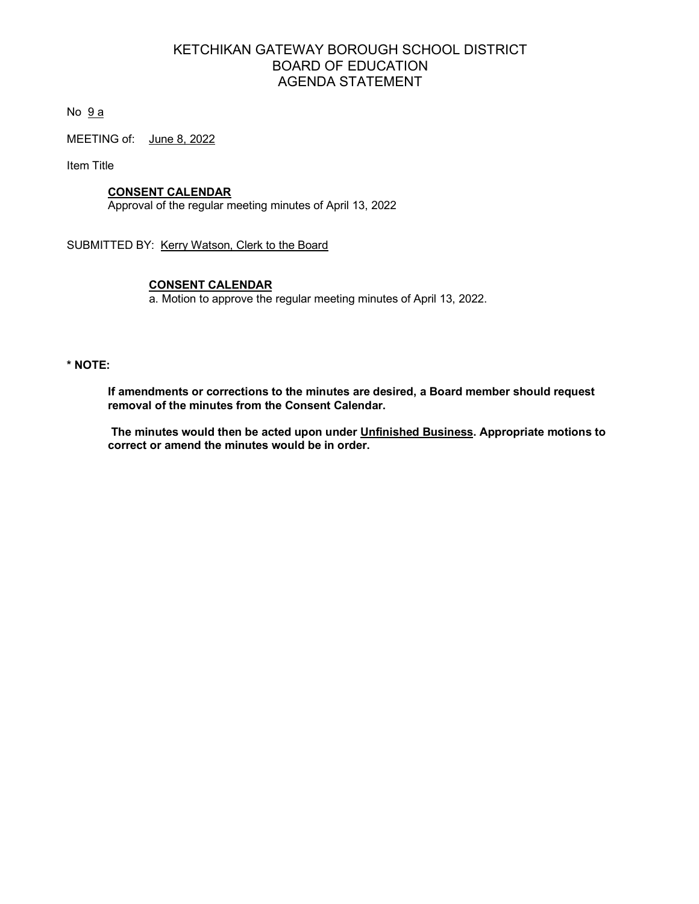# KETCHIKAN GATEWAY BOROUGH SCHOOL DISTRICT BOARD OF EDUCATION AGENDA STATEMENT

No 9 a

MEETING of: June 8, 2022

Item Title

# **CONSENT CALENDAR**

Approval of the regular meeting minutes of April 13, 2022

SUBMITTED BY: Kerry Watson, Clerk to the Board

# **CONSENT CALENDAR**

a. Motion to approve the regular meeting minutes of April 13, 2022.

## **\* NOTE:**

**If amendments or corrections to the minutes are desired, a Board member should request removal of the minutes from the Consent Calendar.**

**The minutes would then be acted upon under Unfinished Business. Appropriate motions to correct or amend the minutes would be in order.**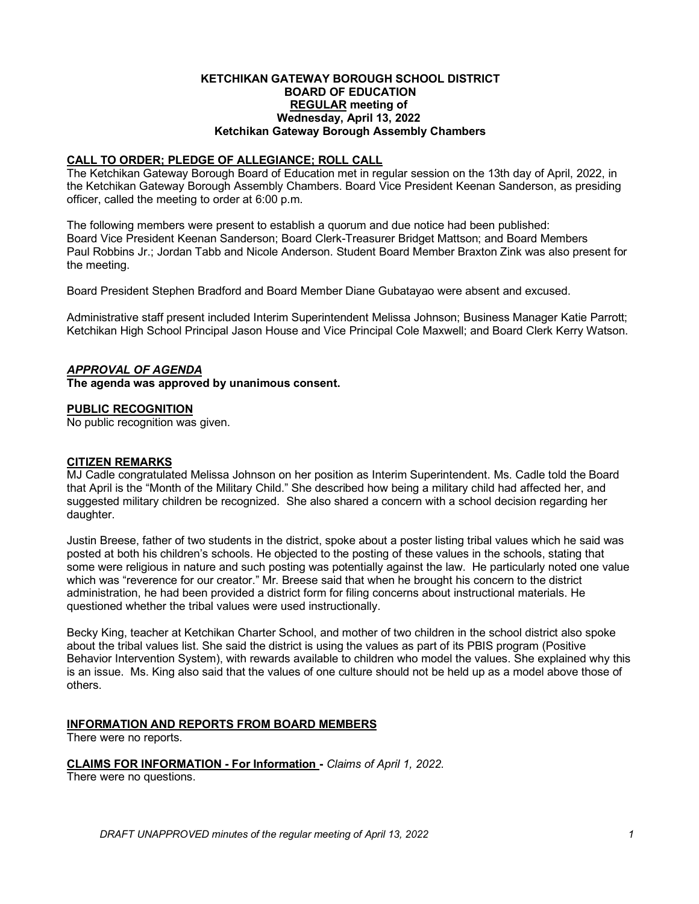## **KETCHIKAN GATEWAY BOROUGH SCHOOL DISTRICT BOARD OF EDUCATION REGULAR meeting of Wednesday, April 13, 2022 Ketchikan Gateway Borough Assembly Chambers**

# **CALL TO ORDER; PLEDGE OF ALLEGIANCE; ROLL CALL**

The Ketchikan Gateway Borough Board of Education met in regular session on the 13th day of April, 2022, in the Ketchikan Gateway Borough Assembly Chambers. Board Vice President Keenan Sanderson, as presiding officer, called the meeting to order at 6:00 p.m.

The following members were present to establish a quorum and due notice had been published: Board Vice President Keenan Sanderson; Board Clerk-Treasurer Bridget Mattson; and Board Members Paul Robbins Jr.; Jordan Tabb and Nicole Anderson. Student Board Member Braxton Zink was also present for the meeting.

Board President Stephen Bradford and Board Member Diane Gubatayao were absent and excused.

Administrative staff present included Interim Superintendent Melissa Johnson; Business Manager Katie Parrott; Ketchikan High School Principal Jason House and Vice Principal Cole Maxwell; and Board Clerk Kerry Watson.

## *APPROVAL OF AGENDA*

**The agenda was approved by unanimous consent.** 

## **PUBLIC RECOGNITION**

No public recognition was given.

## **CITIZEN REMARKS**

MJ Cadle congratulated Melissa Johnson on her position as Interim Superintendent. Ms. Cadle told the Board that April is the "Month of the Military Child." She described how being a military child had affected her, and suggested military children be recognized. She also shared a concern with a school decision regarding her daughter.

Justin Breese, father of two students in the district, spoke about a poster listing tribal values which he said was posted at both his children's schools. He objected to the posting of these values in the schools, stating that some were religious in nature and such posting was potentially against the law. He particularly noted one value which was "reverence for our creator." Mr. Breese said that when he brought his concern to the district administration, he had been provided a district form for filing concerns about instructional materials. He questioned whether the tribal values were used instructionally.

Becky King, teacher at Ketchikan Charter School, and mother of two children in the school district also spoke about the tribal values list. She said the district is using the values as part of its PBIS program (Positive Behavior Intervention System), with rewards available to children who model the values. She explained why this is an issue. Ms. King also said that the values of one culture should not be held up as a model above those of others.

## **INFORMATION AND REPORTS FROM BOARD MEMBERS**

There were no reports.

**CLAIMS FOR INFORMATION - For Information -** *Claims of April 1, 2022.* 

There were no questions.

*DRAFT UNAPPROVED minutes of the regular meeting of April 13, 2022 1*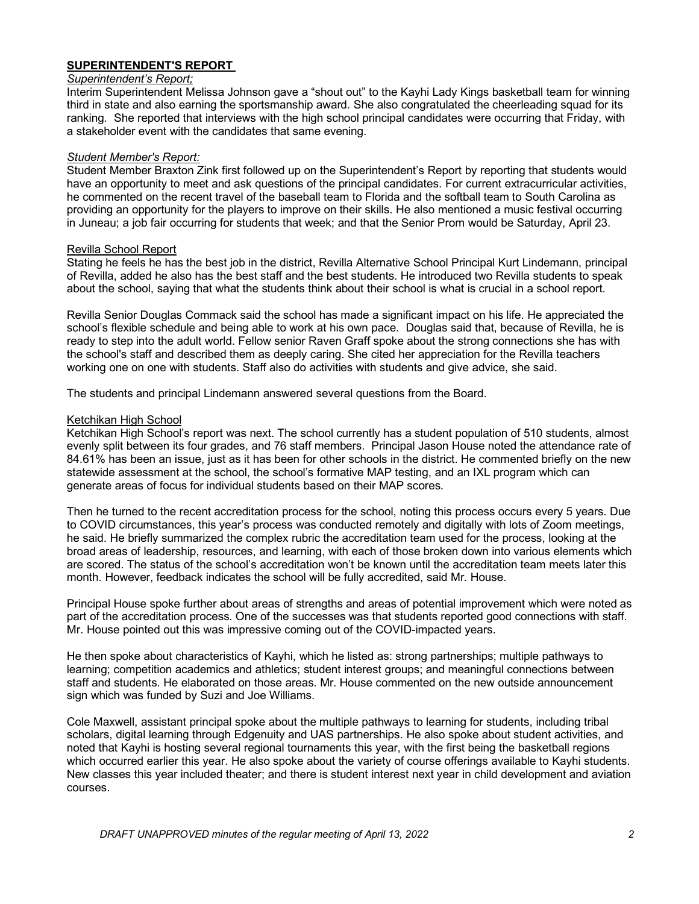# **SUPERINTENDENT'S REPORT**

### *Superintendent's Report;*

Interim Superintendent Melissa Johnson gave a "shout out" to the Kayhi Lady Kings basketball team for winning third in state and also earning the sportsmanship award. She also congratulated the cheerleading squad for its ranking. She reported that interviews with the high school principal candidates were occurring that Friday, with a stakeholder event with the candidates that same evening.

### *Student Member's Report:*

Student Member Braxton Zink first followed up on the Superintendent's Report by reporting that students would have an opportunity to meet and ask questions of the principal candidates. For current extracurricular activities, he commented on the recent travel of the baseball team to Florida and the softball team to South Carolina as providing an opportunity for the players to improve on their skills. He also mentioned a music festival occurring in Juneau; a job fair occurring for students that week; and that the Senior Prom would be Saturday, April 23.

### Revilla School Report

Stating he feels he has the best job in the district, Revilla Alternative School Principal Kurt Lindemann, principal of Revilla, added he also has the best staff and the best students. He introduced two Revilla students to speak about the school, saying that what the students think about their school is what is crucial in a school report.

Revilla Senior Douglas Commack said the school has made a significant impact on his life. He appreciated the school's flexible schedule and being able to work at his own pace. Douglas said that, because of Revilla, he is ready to step into the adult world. Fellow senior Raven Graff spoke about the strong connections she has with the school's staff and described them as deeply caring. She cited her appreciation for the Revilla teachers working one on one with students. Staff also do activities with students and give advice, she said.

The students and principal Lindemann answered several questions from the Board.

### Ketchikan High School

Ketchikan High School's report was next. The school currently has a student population of 510 students, almost evenly split between its four grades, and 76 staff members. Principal Jason House noted the attendance rate of 84.61% has been an issue, just as it has been for other schools in the district. He commented briefly on the new statewide assessment at the school, the school's formative MAP testing, and an IXL program which can generate areas of focus for individual students based on their MAP scores.

Then he turned to the recent accreditation process for the school, noting this process occurs every 5 years. Due to COVID circumstances, this year's process was conducted remotely and digitally with lots of Zoom meetings, he said. He briefly summarized the complex rubric the accreditation team used for the process, looking at the broad areas of leadership, resources, and learning, with each of those broken down into various elements which are scored. The status of the school's accreditation won't be known until the accreditation team meets later this month. However, feedback indicates the school will be fully accredited, said Mr. House.

Principal House spoke further about areas of strengths and areas of potential improvement which were noted as part of the accreditation process. One of the successes was that students reported good connections with staff. Mr. House pointed out this was impressive coming out of the COVID-impacted years.

He then spoke about characteristics of Kayhi, which he listed as: strong partnerships; multiple pathways to learning; competition academics and athletics; student interest groups; and meaningful connections between staff and students. He elaborated on those areas. Mr. House commented on the new outside announcement sign which was funded by Suzi and Joe Williams.

Cole Maxwell, assistant principal spoke about the multiple pathways to learning for students, including tribal scholars, digital learning through Edgenuity and UAS partnerships. He also spoke about student activities, and noted that Kayhi is hosting several regional tournaments this year, with the first being the basketball regions which occurred earlier this year. He also spoke about the variety of course offerings available to Kayhi students. New classes this year included theater; and there is student interest next year in child development and aviation courses.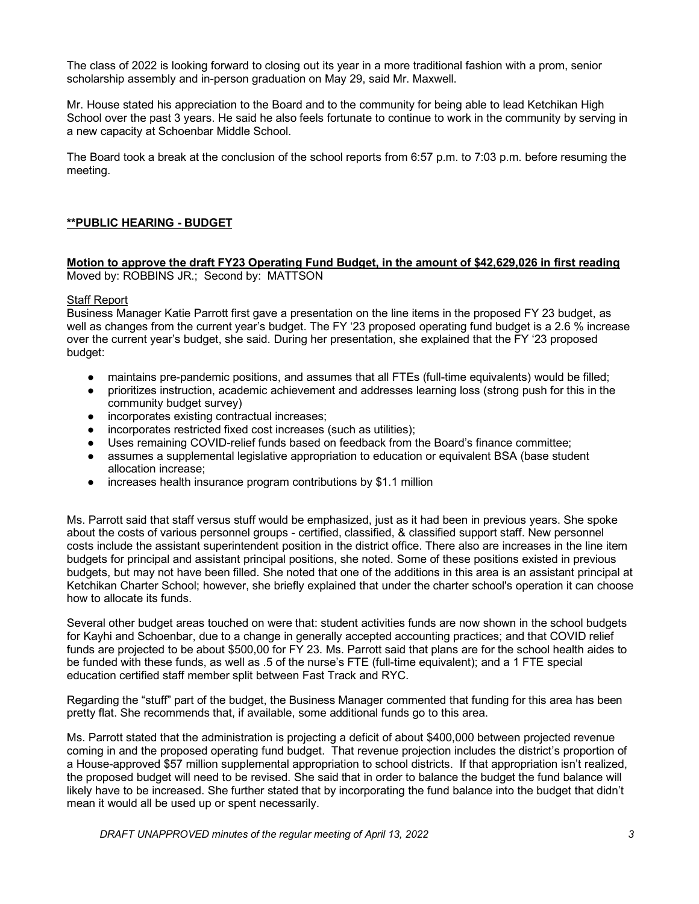The class of 2022 is looking forward to closing out its year in a more traditional fashion with a prom, senior scholarship assembly and in-person graduation on May 29, said Mr. Maxwell.

Mr. House stated his appreciation to the Board and to the community for being able to lead Ketchikan High School over the past 3 years. He said he also feels fortunate to continue to work in the community by serving in a new capacity at Schoenbar Middle School.

The Board took a break at the conclusion of the school reports from 6:57 p.m. to 7:03 p.m. before resuming the meeting.

# **\*\*PUBLIC HEARING - BUDGET**

# **Motion to approve the draft FY23 Operating Fund Budget, in the amount of \$42,629,026 in first reading** Moved by: ROBBINS JR.; Second by: MATTSON

## Staff Report

Business Manager Katie Parrott first gave a presentation on the line items in the proposed FY 23 budget, as well as changes from the current year's budget. The FY '23 proposed operating fund budget is a 2.6 % increase over the current year's budget, she said. During her presentation, she explained that the FY '23 proposed budget:

- maintains pre-pandemic positions, and assumes that all FTEs (full-time equivalents) would be filled;
- prioritizes instruction, academic achievement and addresses learning loss (strong push for this in the community budget survey)
- incorporates existing contractual increases;
- incorporates restricted fixed cost increases (such as utilities);
- Uses remaining COVID-relief funds based on feedback from the Board's finance committee;
- assumes a supplemental legislative appropriation to education or equivalent BSA (base student allocation increase;
- increases health insurance program contributions by \$1.1 million

Ms. Parrott said that staff versus stuff would be emphasized, just as it had been in previous years. She spoke about the costs of various personnel groups - certified, classified, & classified support staff. New personnel costs include the assistant superintendent position in the district office. There also are increases in the line item budgets for principal and assistant principal positions, she noted. Some of these positions existed in previous budgets, but may not have been filled. She noted that one of the additions in this area is an assistant principal at Ketchikan Charter School; however, she briefly explained that under the charter school's operation it can choose how to allocate its funds.

Several other budget areas touched on were that: student activities funds are now shown in the school budgets for Kayhi and Schoenbar, due to a change in generally accepted accounting practices; and that COVID relief funds are projected to be about \$500,00 for FY 23. Ms. Parrott said that plans are for the school health aides to be funded with these funds, as well as .5 of the nurse's FTE (full-time equivalent); and a 1 FTE special education certified staff member split between Fast Track and RYC.

Regarding the "stuff" part of the budget, the Business Manager commented that funding for this area has been pretty flat. She recommends that, if available, some additional funds go to this area.

Ms. Parrott stated that the administration is projecting a deficit of about \$400,000 between projected revenue coming in and the proposed operating fund budget. That revenue projection includes the district's proportion of a House-approved \$57 million supplemental appropriation to school districts. If that appropriation isn't realized, the proposed budget will need to be revised. She said that in order to balance the budget the fund balance will likely have to be increased. She further stated that by incorporating the fund balance into the budget that didn't mean it would all be used up or spent necessarily.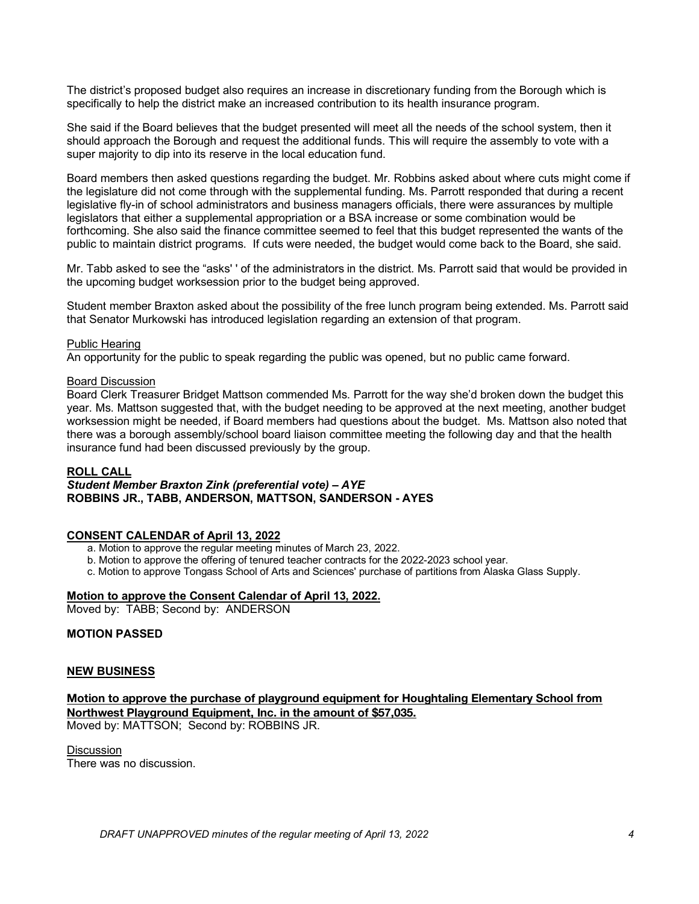The district's proposed budget also requires an increase in discretionary funding from the Borough which is specifically to help the district make an increased contribution to its health insurance program.

She said if the Board believes that the budget presented will meet all the needs of the school system, then it should approach the Borough and request the additional funds. This will require the assembly to vote with a super majority to dip into its reserve in the local education fund.

Board members then asked questions regarding the budget. Mr. Robbins asked about where cuts might come if the legislature did not come through with the supplemental funding. Ms. Parrott responded that during a recent legislative fly-in of school administrators and business managers officials, there were assurances by multiple legislators that either a supplemental appropriation or a BSA increase or some combination would be forthcoming. She also said the finance committee seemed to feel that this budget represented the wants of the public to maintain district programs. If cuts were needed, the budget would come back to the Board, she said.

Mr. Tabb asked to see the "asks' ' of the administrators in the district. Ms. Parrott said that would be provided in the upcoming budget worksession prior to the budget being approved.

Student member Braxton asked about the possibility of the free lunch program being extended. Ms. Parrott said that Senator Murkowski has introduced legislation regarding an extension of that program.

### Public Hearing

An opportunity for the public to speak regarding the public was opened, but no public came forward.

#### Board Discussion

Board Clerk Treasurer Bridget Mattson commended Ms. Parrott for the way she'd broken down the budget this year. Ms. Mattson suggested that, with the budget needing to be approved at the next meeting, another budget worksession might be needed, if Board members had questions about the budget. Ms. Mattson also noted that there was a borough assembly/school board liaison committee meeting the following day and that the health insurance fund had been discussed previously by the group.

#### **ROLL CALL**

### *Student Member Braxton Zink (preferential vote) – AYE* **ROBBINS JR., TABB, ANDERSON, MATTSON, SANDERSON - AYES**

#### **CONSENT CALENDAR of April 13, 2022**

- a. Motion to approve the regular meeting minutes of March 23, 2022.
- b. Motion to approve the offering of tenured teacher contracts for the 2022-2023 school year.
- c. Motion to approve Tongass School of Arts and Sciences' purchase of partitions from Alaska Glass Supply.

# **Motion to approve the Consent Calendar of April 13, 2022.**

Moved by: TABB; Second by: ANDERSON

# **MOTION PASSED**

### **NEW BUSINESS**

**Motion to approve the purchase of playground equipment for Houghtaling Elementary School from Northwest Playground Equipment, Inc. in the amount of \$57,035.** Moved by: MATTSON; Second by: ROBBINS JR.

**Discussion** There was no discussion.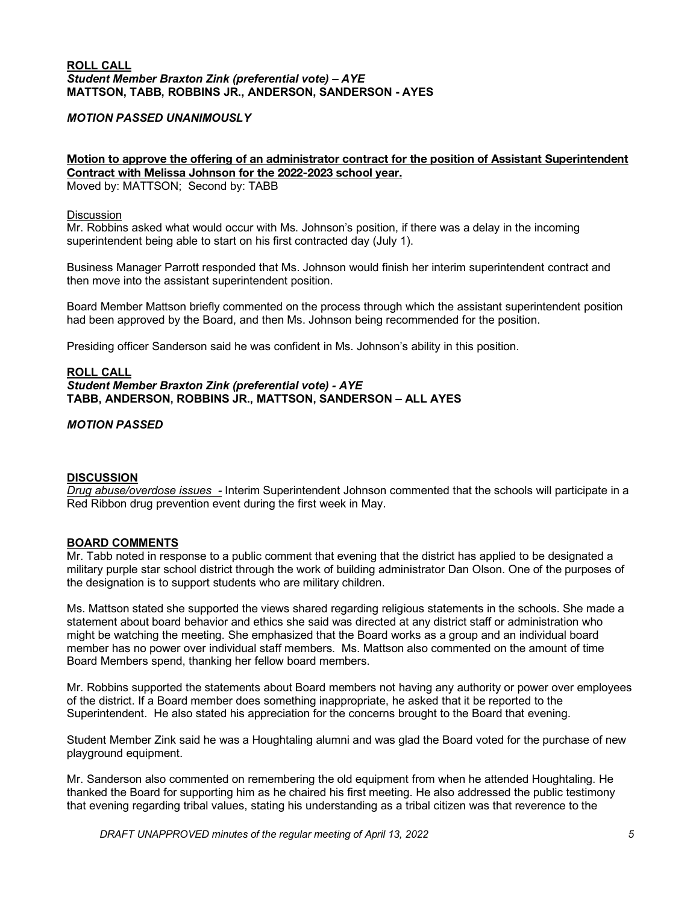## **ROLL CALL** *Student Member Braxton Zink (preferential vote) – AYE* **MATTSON, TABB, ROBBINS JR., ANDERSON, SANDERSON - AYES**

*MOTION PASSED UNANIMOUSLY*

## **Motion to approve the offering of an administrator contract for the position of Assistant Superintendent Contract with Melissa Johnson for the 2022-2023 school year.** Moved by: MATTSON; Second by: TABB

**Discussion** 

Mr. Robbins asked what would occur with Ms. Johnson's position, if there was a delay in the incoming superintendent being able to start on his first contracted day (July 1).

Business Manager Parrott responded that Ms. Johnson would finish her interim superintendent contract and then move into the assistant superintendent position.

Board Member Mattson briefly commented on the process through which the assistant superintendent position had been approved by the Board, and then Ms. Johnson being recommended for the position.

Presiding officer Sanderson said he was confident in Ms. Johnson's ability in this position.

## **ROLL CALL**

*Student Member Braxton Zink (preferential vote) - AYE*  **TABB, ANDERSON, ROBBINS JR., MATTSON, SANDERSON – ALL AYES**

## *MOTION PASSED*

## **DISCUSSION**

*Drug abuse/overdose issues -* Interim Superintendent Johnson commented that the schools will participate in a Red Ribbon drug prevention event during the first week in May.

## **BOARD COMMENTS**

Mr. Tabb noted in response to a public comment that evening that the district has applied to be designated a military purple star school district through the work of building administrator Dan Olson. One of the purposes of the designation is to support students who are military children.

Ms. Mattson stated she supported the views shared regarding religious statements in the schools. She made a statement about board behavior and ethics she said was directed at any district staff or administration who might be watching the meeting. She emphasized that the Board works as a group and an individual board member has no power over individual staff members. Ms. Mattson also commented on the amount of time Board Members spend, thanking her fellow board members.

Mr. Robbins supported the statements about Board members not having any authority or power over employees of the district. If a Board member does something inappropriate, he asked that it be reported to the Superintendent. He also stated his appreciation for the concerns brought to the Board that evening.

Student Member Zink said he was a Houghtaling alumni and was glad the Board voted for the purchase of new playground equipment.

Mr. Sanderson also commented on remembering the old equipment from when he attended Houghtaling. He thanked the Board for supporting him as he chaired his first meeting. He also addressed the public testimony that evening regarding tribal values, stating his understanding as a tribal citizen was that reverence to the